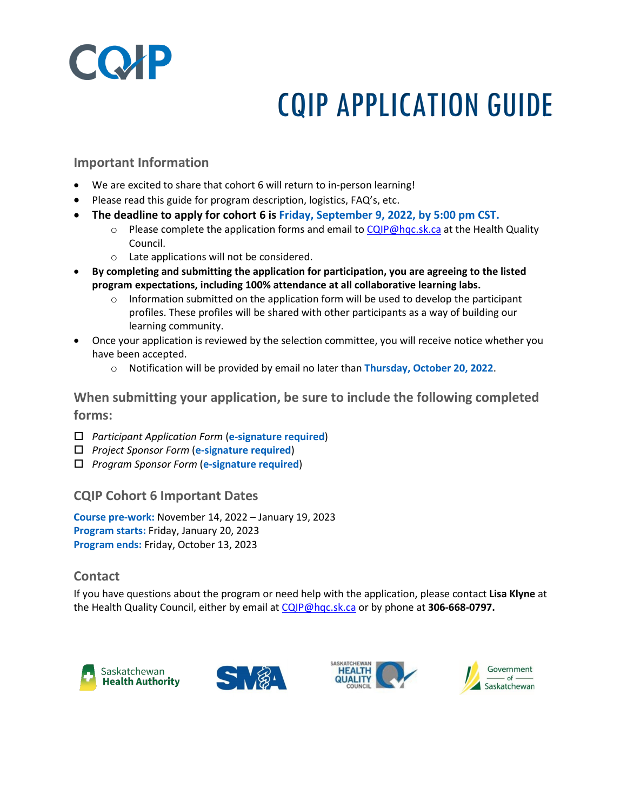

# CQIP APPLICATION GUIDE

#### **Important Information**

- We are excited to share that cohort 6 will return to in-person learning!
- Please read this guide for program description, logistics, FAQ's, etc.
- **The deadline to apply for cohort 6 is Friday, September 9, 2022, by 5:00 pm CST.** 
	- $\circ$  Please complete the application forms and email to [CQIP@hqc.sk.ca](mailto:CQIP@hqc.sk.ca) at the Health Quality Council.
	- o Late applications will not be considered.
- **By completing and submitting the application for participation, you are agreeing to the listed program expectations, including 100% attendance at all collaborative learning labs.**
	- $\circ$  Information submitted on the application form will be used to develop the participant profiles. These profiles will be shared with other participants as a way of building our learning community.
- Once your application is reviewed by the selection committee, you will receive notice whether you have been accepted.
	- o Notification will be provided by email no later than **Thursday, October 20, 2022**.

**When submitting your application, be sure to include the following completed forms:** 

- *Participant Application Form* (**e-signature required**)
- *Project Sponsor Form* (**e-signature required**)
- *Program Sponsor Form* (**e-signature required**)

#### **CQIP Cohort 6 Important Dates**

**Course pre-work:** November 14, 2022 – January 19, 2023 **Program starts:** Friday, January 20, 2023 **Program ends:** Friday, October 13, 2023

#### **Contact**

If you have questions about the program or need help with the application, please contact **Lisa Klyne** at the Health Quality Council, either by email at [CQIP@hqc.sk.ca](mailto:CQIP@hqc.sk.ca) or by phone at **306-668-0797.**

<span id="page-0-0"></span>





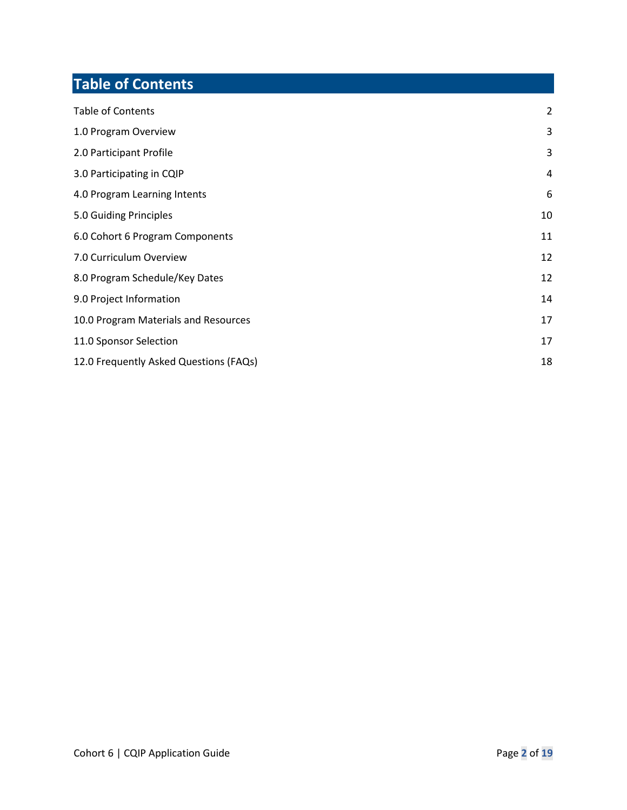## **Table of Contents**

<span id="page-1-0"></span>

| <b>Table of Contents</b>               | 2  |
|----------------------------------------|----|
| 1.0 Program Overview                   | 3  |
| 2.0 Participant Profile                | 3  |
| 3.0 Participating in CQIP              | 4  |
| 4.0 Program Learning Intents           | 6  |
| 5.0 Guiding Principles                 | 10 |
| 6.0 Cohort 6 Program Components        | 11 |
| 7.0 Curriculum Overview                | 12 |
| 8.0 Program Schedule/Key Dates         | 12 |
| 9.0 Project Information                | 14 |
| 10.0 Program Materials and Resources   | 17 |
| 11.0 Sponsor Selection                 | 17 |
| 12.0 Frequently Asked Questions (FAQs) | 18 |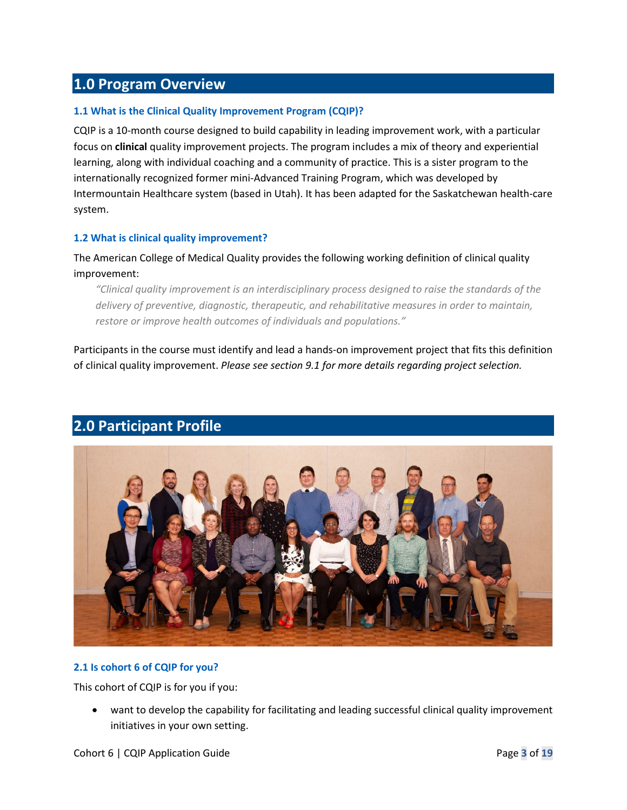## **1.0 Program Overview**

#### **1.1 What is the Clinical Quality Improvement Program (CQIP)?**

CQIP is a 10-month course designed to build capability in leading improvement work, with a particular focus on **clinical** quality improvement projects. The program includes a mix of theory and experiential learning, along with individual coaching and a community of practice. This is a sister program to the internationally recognized former mini-Advanced Training Program, which was developed by Intermountain Healthcare system (based in Utah). It has been adapted for the Saskatchewan health-care system.

#### **1.2 What is clinical quality improvement?**

The American College of Medical Quality provides the following working definition of clinical quality improvement:

*"Clinical quality improvement is an interdisciplinary process designed to raise the standards of the delivery of preventive, diagnostic, therapeutic, and rehabilitative measures in order to maintain, restore or improve health outcomes of individuals and populations."* 

Participants in the course must identify and lead a hands-on improvement project that fits this definition of clinical quality improvement. *Please see section 9.1 for more details regarding project selection.* 



## <span id="page-2-0"></span>**2.0 Participant Profile**

#### **2.1 Is cohort 6 of CQIP for you?**

This cohort of CQIP is for you if you:

• want to develop the capability for facilitating and leading successful clinical quality improvement initiatives in your own setting.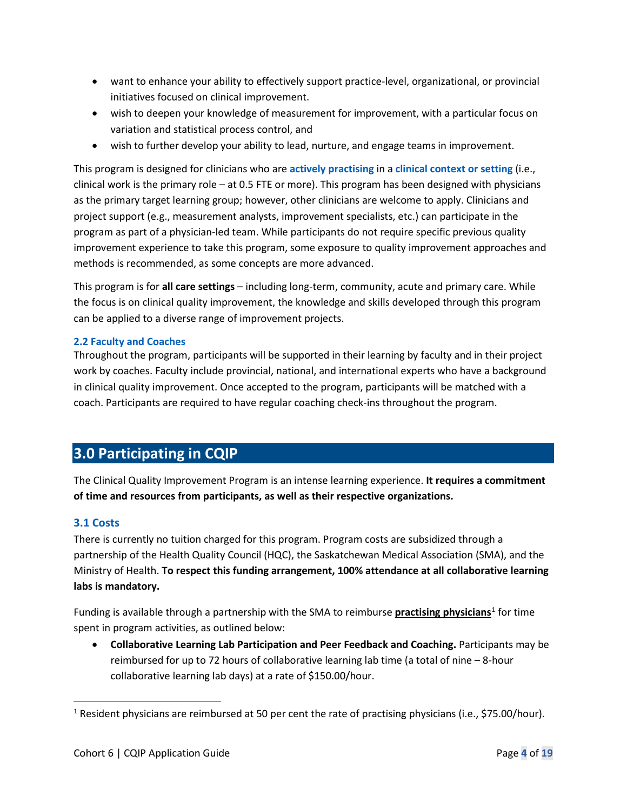- want to enhance your ability to effectively support practice-level, organizational, or provincial initiatives focused on clinical improvement.
- wish to deepen your knowledge of measurement for improvement, with a particular focus on variation and statistical process control, and
- wish to further develop your ability to lead, nurture, and engage teams in improvement.

This program is designed for clinicians who are **actively practising** in a **clinical context or setting** (i.e., clinical work is the primary role – at 0.5 FTE or more). This program has been designed with physicians as the primary target learning group; however, other clinicians are welcome to apply. Clinicians and project support (e.g., measurement analysts, improvement specialists, etc.) can participate in the program as part of a physician-led team. While participants do not require specific previous quality improvement experience to take this program, some exposure to quality improvement approaches and methods is recommended, as some concepts are more advanced.

This program is for **all care settings** – including long-term, community, acute and primary care. While the focus is on clinical quality improvement, the knowledge and skills developed through this program can be applied to a diverse range of improvement projects.

#### **2.2 Faculty and Coaches**

Throughout the program, participants will be supported in their learning by faculty and in their project work by coaches. Faculty include provincial, national, and international experts who have a background in clinical quality improvement. Once accepted to the program, participants will be matched with a coach. Participants are required to have regular coaching check-ins throughout the program.

## <span id="page-3-0"></span>**3.0 Participating in CQIP**

The Clinical Quality Improvement Program is an intense learning experience. **It requires a commitment of time and resources from participants, as well as their respective organizations.**

#### **3.1 Costs**

There is currently no tuition charged for this program. Program costs are subsidized through a partnership of the Health Quality Council (HQC), the Saskatchewan Medical Association (SMA), and the Ministry of Health. **To respect this funding arrangement, 100% attendance at all collaborative learning labs is mandatory.** 

Funding is available through a partnership with the SMA to reimburse **practising physicians**[1](#page-3-1) for time spent in program activities, as outlined below:

• **Collaborative Learning Lab Participation and Peer Feedback and Coaching.** Participants may be reimbursed for up to 72 hours of collaborative learning lab time (a total of nine – 8-hour collaborative learning lab days) at a rate of \$150.00/hour.

<span id="page-3-1"></span><sup>&</sup>lt;sup>1</sup> Resident physicians are reimbursed at 50 per cent the rate of practising physicians (i.e., \$75.00/hour).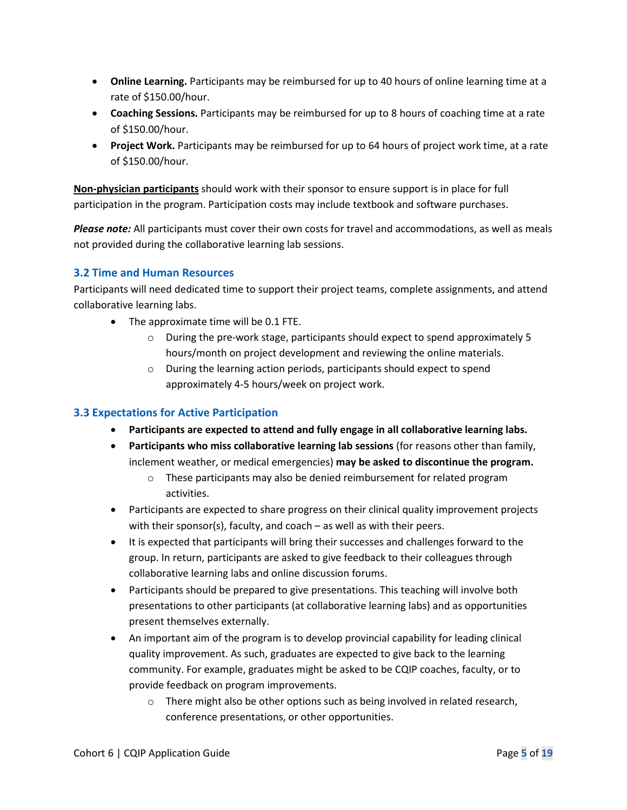- **Online Learning.** Participants may be reimbursed for up to 40 hours of online learning time at a rate of \$150.00/hour.
- **Coaching Sessions.** Participants may be reimbursed for up to 8 hours of coaching time at a rate of \$150.00/hour.
- **Project Work.** Participants may be reimbursed for up to 64 hours of project work time, at a rate of \$150.00/hour.

**Non-physician participants** should work with their sponsor to ensure support is in place for full participation in the program. Participation costs may include textbook and software purchases.

*Please note:* All participants must cover their own costs for travel and accommodations, as well as meals not provided during the collaborative learning lab sessions.

#### **3.2 Time and Human Resources**

Participants will need dedicated time to support their project teams, complete assignments, and attend collaborative learning labs.

- The approximate time will be 0.1 FTE.
	- $\circ$  During the pre-work stage, participants should expect to spend approximately 5 hours/month on project development and reviewing the online materials.
	- o During the learning action periods, participants should expect to spend approximately 4-5 hours/week on project work.

#### **3.3 Expectations for Active Participation**

- **Participants are expected to attend and fully engage in all collaborative learning labs.**
- **Participants who miss collaborative learning lab sessions** (for reasons other than family, inclement weather, or medical emergencies) **may be asked to discontinue the program.** 
	- o These participants may also be denied reimbursement for related program activities.
- Participants are expected to share progress on their clinical quality improvement projects with their sponsor(s), faculty, and coach – as well as with their peers.
- It is expected that participants will bring their successes and challenges forward to the group. In return, participants are asked to give feedback to their colleagues through collaborative learning labs and online discussion forums.
- Participants should be prepared to give presentations. This teaching will involve both presentations to other participants (at collaborative learning labs) and as opportunities present themselves externally.
- An important aim of the program is to develop provincial capability for leading clinical quality improvement. As such, graduates are expected to give back to the learning community. For example, graduates might be asked to be CQIP coaches, faculty, or to provide feedback on program improvements.
	- o There might also be other options such as being involved in related research, conference presentations, or other opportunities.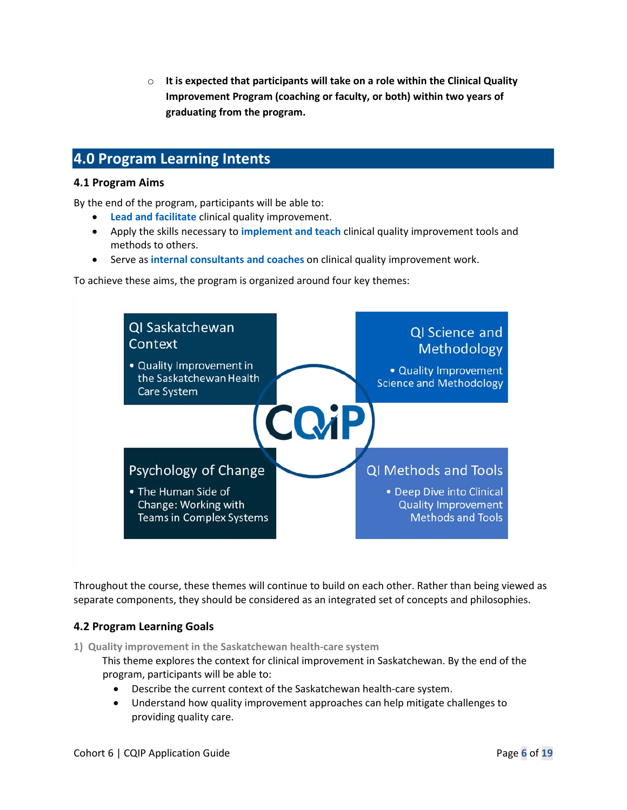o **It is expected that participants will take on a role within the Clinical Quality Improvement Program (coaching or faculty, or both) within two years of graduating from the program.**

## <span id="page-5-0"></span>**4.0 Program Learning Intents**

#### **4.1 Program Aims**

By the end of the program, participants will be able to:

- **Lead and facilitate** clinical quality improvement.
- Apply the skills necessary to **implement and teach** clinical quality improvement tools and methods to others.
- Serve as **internal consultants and coaches** on clinical quality improvement work.

To achieve these aims, the program is organized around four key themes:



Throughout the course, these themes will continue to build on each other. Rather than being viewed as separate components, they should be considered as an integrated set of concepts and philosophies.

#### **4.2 Program Learning Goals**

**1) Quality improvement in the Saskatchewan health-care system**

This theme explores the context for clinical improvement in Saskatchewan. By the end of the program, participants will be able to:

- Describe the current context of the Saskatchewan health-care system.
- Understand how quality improvement approaches can help mitigate challenges to providing quality care.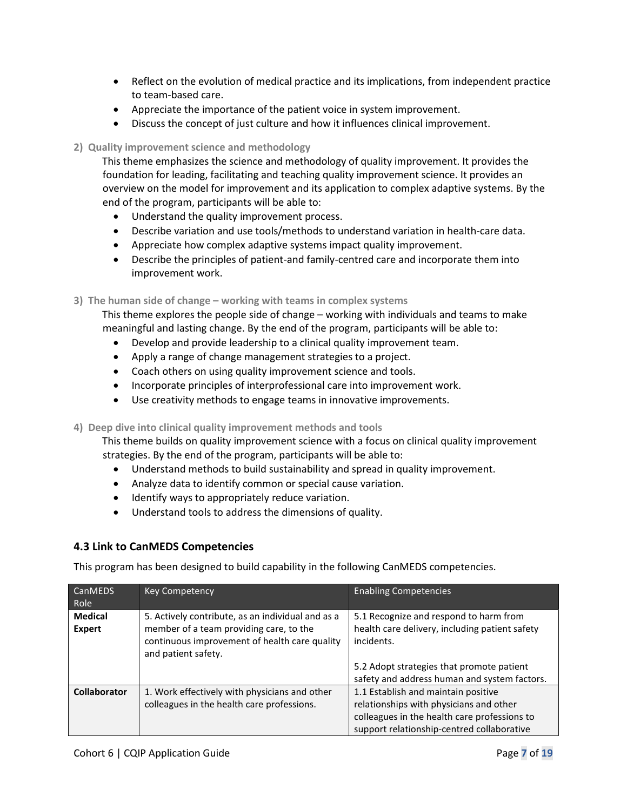- Reflect on the evolution of medical practice and its implications, from independent practice to team-based care.
- Appreciate the importance of the patient voice in system improvement.
- Discuss the concept of just culture and how it influences clinical improvement.

#### **2) Quality improvement science and methodology**

This theme emphasizes the science and methodology of quality improvement. It provides the foundation for leading, facilitating and teaching quality improvement science. It provides an overview on the model for improvement and its application to complex adaptive systems. By the end of the program, participants will be able to:

- Understand the quality improvement process.
- Describe variation and use tools/methods to understand variation in health-care data.
- Appreciate how complex adaptive systems impact quality improvement.
- Describe the principles of patient-and family-centred care and incorporate them into improvement work.

**3) The human side of change – working with teams in complex systems**

This theme explores the people side of change – working with individuals and teams to make meaningful and lasting change. By the end of the program, participants will be able to:

- Develop and provide leadership to a clinical quality improvement team.
- Apply a range of change management strategies to a project.
- Coach others on using quality improvement science and tools.
- Incorporate principles of interprofessional care into improvement work.
- Use creativity methods to engage teams in innovative improvements.

**4) Deep dive into clinical quality improvement methods and tools**

This theme builds on quality improvement science with a focus on clinical quality improvement strategies. By the end of the program, participants will be able to:

- Understand methods to build sustainability and spread in quality improvement.
- Analyze data to identify common or special cause variation.
- Identify ways to appropriately reduce variation.
- Understand tools to address the dimensions of quality.

#### **4.3 Link to CanMEDS Competencies**

This program has been designed to build capability in the following CanMEDS competencies.

| <b>CanMEDS</b>                  | <b>Key Competency</b>                                                                                                                                                | <b>Enabling Competencies</b>                                                                           |
|---------------------------------|----------------------------------------------------------------------------------------------------------------------------------------------------------------------|--------------------------------------------------------------------------------------------------------|
| Role                            |                                                                                                                                                                      |                                                                                                        |
| <b>Medical</b><br><b>Expert</b> | 5. Actively contribute, as an individual and as a<br>member of a team providing care, to the<br>continuous improvement of health care quality<br>and patient safety. | 5.1 Recognize and respond to harm from<br>health care delivery, including patient safety<br>incidents. |
|                                 |                                                                                                                                                                      | 5.2 Adopt strategies that promote patient                                                              |
|                                 |                                                                                                                                                                      | safety and address human and system factors.                                                           |
| <b>Collaborator</b>             | 1. Work effectively with physicians and other                                                                                                                        | 1.1 Establish and maintain positive                                                                    |
|                                 | colleagues in the health care professions.                                                                                                                           | relationships with physicians and other                                                                |
|                                 |                                                                                                                                                                      | colleagues in the health care professions to                                                           |
|                                 |                                                                                                                                                                      | support relationship-centred collaborative                                                             |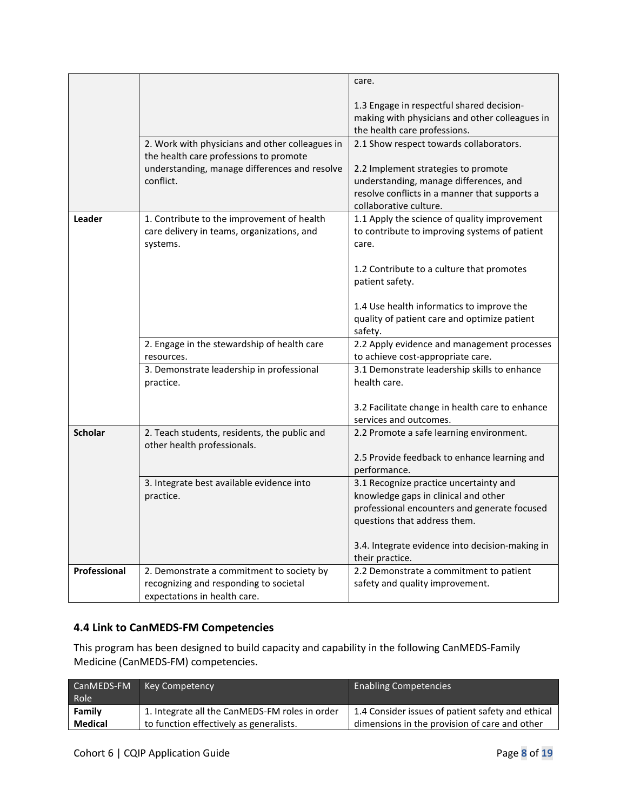|                |                                                                                     | care.                                                                             |
|----------------|-------------------------------------------------------------------------------------|-----------------------------------------------------------------------------------|
|                |                                                                                     |                                                                                   |
|                |                                                                                     | 1.3 Engage in respectful shared decision-                                         |
|                |                                                                                     | making with physicians and other colleagues in<br>the health care professions.    |
|                | 2. Work with physicians and other colleagues in                                     | 2.1 Show respect towards collaborators.                                           |
|                | the health care professions to promote                                              |                                                                                   |
|                | understanding, manage differences and resolve                                       | 2.2 Implement strategies to promote                                               |
|                | conflict.                                                                           | understanding, manage differences, and                                            |
|                |                                                                                     | resolve conflicts in a manner that supports a                                     |
|                |                                                                                     | collaborative culture.                                                            |
| Leader         | 1. Contribute to the improvement of health                                          | 1.1 Apply the science of quality improvement                                      |
|                | care delivery in teams, organizations, and                                          | to contribute to improving systems of patient                                     |
|                | systems.                                                                            | care.                                                                             |
|                |                                                                                     | 1.2 Contribute to a culture that promotes                                         |
|                |                                                                                     | patient safety.                                                                   |
|                |                                                                                     |                                                                                   |
|                |                                                                                     | 1.4 Use health informatics to improve the                                         |
|                |                                                                                     | quality of patient care and optimize patient                                      |
|                |                                                                                     | safety.                                                                           |
|                | 2. Engage in the stewardship of health care                                         | 2.2 Apply evidence and management processes                                       |
|                | resources.<br>3. Demonstrate leadership in professional                             | to achieve cost-appropriate care.<br>3.1 Demonstrate leadership skills to enhance |
|                | practice.                                                                           | health care.                                                                      |
|                |                                                                                     |                                                                                   |
|                |                                                                                     | 3.2 Facilitate change in health care to enhance                                   |
|                |                                                                                     | services and outcomes.                                                            |
| <b>Scholar</b> | 2. Teach students, residents, the public and                                        | 2.2 Promote a safe learning environment.                                          |
|                | other health professionals.                                                         |                                                                                   |
|                |                                                                                     | 2.5 Provide feedback to enhance learning and<br>performance.                      |
|                | 3. Integrate best available evidence into                                           | 3.1 Recognize practice uncertainty and                                            |
|                | practice.                                                                           | knowledge gaps in clinical and other                                              |
|                |                                                                                     | professional encounters and generate focused                                      |
|                |                                                                                     | questions that address them.                                                      |
|                |                                                                                     |                                                                                   |
|                |                                                                                     | 3.4. Integrate evidence into decision-making in                                   |
|                |                                                                                     | their practice.                                                                   |
| Professional   | 2. Demonstrate a commitment to society by<br>recognizing and responding to societal | 2.2 Demonstrate a commitment to patient<br>safety and quality improvement.        |
|                | expectations in health care.                                                        |                                                                                   |
|                |                                                                                     |                                                                                   |

#### **4.4 Link to CanMEDS-FM Competencies**

This program has been designed to build capacity and capability in the following CanMEDS-Family Medicine (CanMEDS-FM) competencies.

| CanMEDS-FM<br>Role | <b>Key Competency</b>                          | <b>Enabling Competencies</b>                      |
|--------------------|------------------------------------------------|---------------------------------------------------|
| Family             | 1. Integrate all the CanMEDS-FM roles in order | 1.4 Consider issues of patient safety and ethical |
| <b>Medical</b>     | to function effectively as generalists.        | dimensions in the provision of care and other     |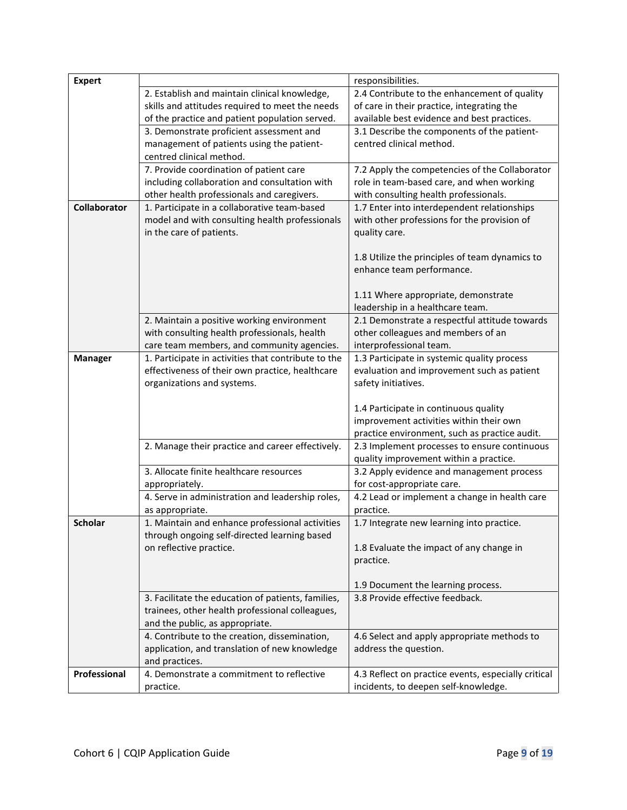| <b>Expert</b>       |                                                     | responsibilities.                                   |
|---------------------|-----------------------------------------------------|-----------------------------------------------------|
|                     | 2. Establish and maintain clinical knowledge,       | 2.4 Contribute to the enhancement of quality        |
|                     | skills and attitudes required to meet the needs     | of care in their practice, integrating the          |
|                     | of the practice and patient population served.      | available best evidence and best practices.         |
|                     | 3. Demonstrate proficient assessment and            | 3.1 Describe the components of the patient-         |
|                     | management of patients using the patient-           | centred clinical method.                            |
|                     | centred clinical method.                            |                                                     |
|                     | 7. Provide coordination of patient care             | 7.2 Apply the competencies of the Collaborator      |
|                     | including collaboration and consultation with       | role in team-based care, and when working           |
|                     | other health professionals and caregivers.          | with consulting health professionals.               |
| <b>Collaborator</b> | 1. Participate in a collaborative team-based        | 1.7 Enter into interdependent relationships         |
|                     | model and with consulting health professionals      | with other professions for the provision of         |
|                     | in the care of patients.                            | quality care.                                       |
|                     |                                                     |                                                     |
|                     |                                                     | 1.8 Utilize the principles of team dynamics to      |
|                     |                                                     | enhance team performance.                           |
|                     |                                                     |                                                     |
|                     |                                                     | 1.11 Where appropriate, demonstrate                 |
|                     |                                                     | leadership in a healthcare team.                    |
|                     | 2. Maintain a positive working environment          | 2.1 Demonstrate a respectful attitude towards       |
|                     | with consulting health professionals, health        | other colleagues and members of an                  |
|                     | care team members, and community agencies.          | interprofessional team.                             |
| <b>Manager</b>      | 1. Participate in activities that contribute to the | 1.3 Participate in systemic quality process         |
|                     | effectiveness of their own practice, healthcare     | evaluation and improvement such as patient          |
|                     | organizations and systems.                          | safety initiatives.                                 |
|                     |                                                     |                                                     |
|                     |                                                     | 1.4 Participate in continuous quality               |
|                     |                                                     | improvement activities within their own             |
|                     |                                                     | practice environment, such as practice audit.       |
|                     | 2. Manage their practice and career effectively.    | 2.3 Implement processes to ensure continuous        |
|                     |                                                     | quality improvement within a practice.              |
|                     | 3. Allocate finite healthcare resources             | 3.2 Apply evidence and management process           |
|                     | appropriately.                                      | for cost-appropriate care.                          |
|                     | 4. Serve in administration and leadership roles,    | 4.2 Lead or implement a change in health care       |
|                     | as appropriate.                                     | practice.                                           |
| <b>Scholar</b>      | 1. Maintain and enhance professional activities     | 1.7 Integrate new learning into practice.           |
|                     | through ongoing self-directed learning based        |                                                     |
|                     | on reflective practice.                             | 1.8 Evaluate the impact of any change in            |
|                     |                                                     | practice.                                           |
|                     |                                                     |                                                     |
|                     |                                                     | 1.9 Document the learning process.                  |
|                     | 3. Facilitate the education of patients, families,  | 3.8 Provide effective feedback.                     |
|                     | trainees, other health professional colleagues,     |                                                     |
|                     | and the public, as appropriate.                     |                                                     |
|                     | 4. Contribute to the creation, dissemination,       | 4.6 Select and apply appropriate methods to         |
|                     | application, and translation of new knowledge       | address the question.                               |
|                     | and practices.                                      |                                                     |
| Professional        | 4. Demonstrate a commitment to reflective           | 4.3 Reflect on practice events, especially critical |
|                     | practice.                                           | incidents, to deepen self-knowledge.                |
|                     |                                                     |                                                     |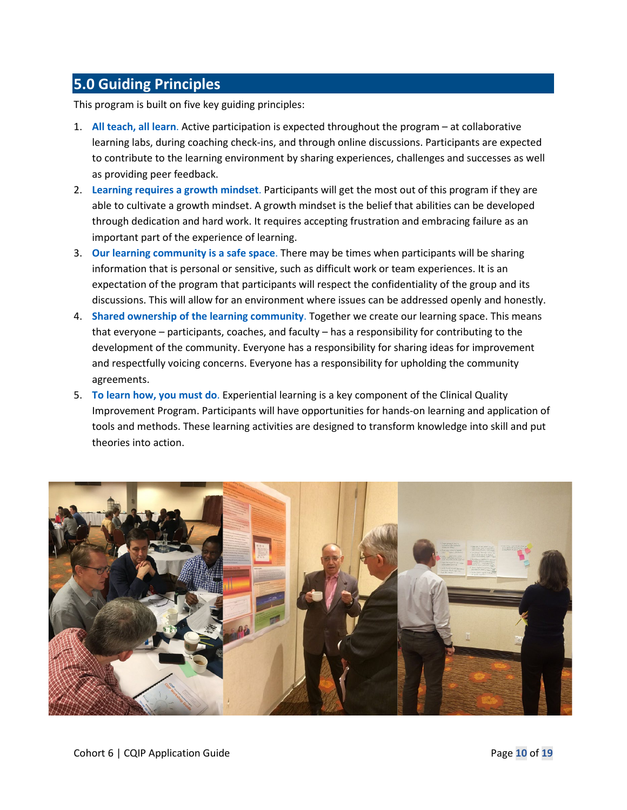## <span id="page-9-0"></span>**5.0 Guiding Principles**

This program is built on five key guiding principles:

- 1. **All teach, all learn**. Active participation is expected throughout the program at collaborative learning labs, during coaching check-ins, and through online discussions. Participants are expected to contribute to the learning environment by sharing experiences, challenges and successes as well as providing peer feedback.
- 2. **Learning requires a growth mindset**. Participants will get the most out of this program if they are able to cultivate a growth mindset. A growth mindset is the belief that abilities can be developed through dedication and hard work. It requires accepting frustration and embracing failure as an important part of the experience of learning.
- 3. **Our learning community is a safe space**. There may be times when participants will be sharing information that is personal or sensitive, such as difficult work or team experiences. It is an expectation of the program that participants will respect the confidentiality of the group and its discussions. This will allow for an environment where issues can be addressed openly and honestly.
- 4. **Shared ownership of the learning community**. Together we create our learning space. This means that everyone – participants, coaches, and faculty – has a responsibility for contributing to the development of the community. Everyone has a responsibility for sharing ideas for improvement and respectfully voicing concerns. Everyone has a responsibility for upholding the community agreements.
- 5. **To learn how, you must do**. Experiential learning is a key component of the Clinical Quality Improvement Program. Participants will have opportunities for hands-on learning and application of tools and methods. These learning activities are designed to transform knowledge into skill and put theories into action.

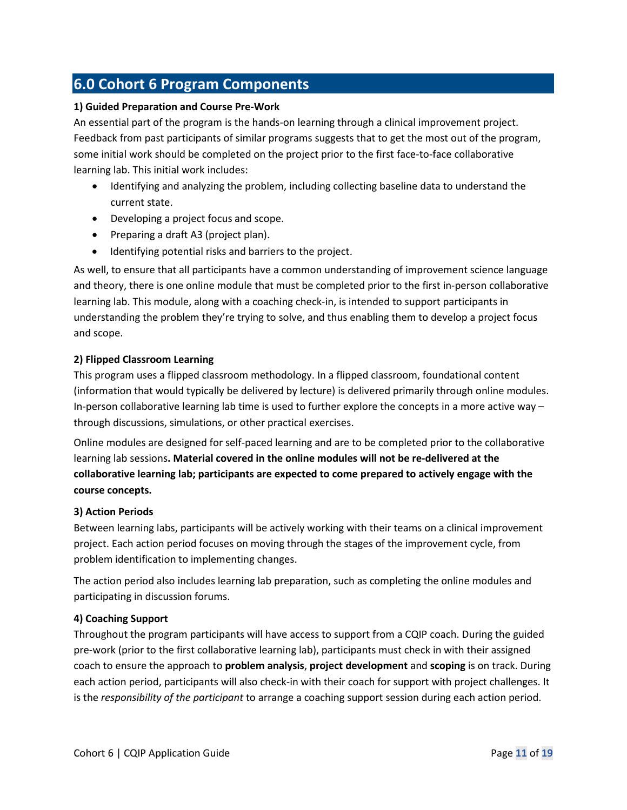## <span id="page-10-0"></span>**6.0 Cohort 6 Program Components**

#### **1) Guided Preparation and Course Pre-Work**

An essential part of the program is the hands-on learning through a clinical improvement project. Feedback from past participants of similar programs suggests that to get the most out of the program, some initial work should be completed on the project prior to the first face-to-face collaborative learning lab. This initial work includes:

- Identifying and analyzing the problem, including collecting baseline data to understand the current state.
- Developing a project focus and scope.
- Preparing a draft A3 (project plan).
- Identifying potential risks and barriers to the project.

As well, to ensure that all participants have a common understanding of improvement science language and theory, there is one online module that must be completed prior to the first in-person collaborative learning lab. This module, along with a coaching check-in, is intended to support participants in understanding the problem they're trying to solve, and thus enabling them to develop a project focus and scope.

#### **2) Flipped Classroom Learning**

This program uses a flipped classroom methodology. In a flipped classroom, foundational content (information that would typically be delivered by lecture) is delivered primarily through online modules. In-person collaborative learning lab time is used to further explore the concepts in a more active way – through discussions, simulations, or other practical exercises.

Online modules are designed for self-paced learning and are to be completed prior to the collaborative learning lab sessions**. Material covered in the online modules will not be re-delivered at the collaborative learning lab; participants are expected to come prepared to actively engage with the course concepts.**

#### **3) Action Periods**

Between learning labs, participants will be actively working with their teams on a clinical improvement project. Each action period focuses on moving through the stages of the improvement cycle, from problem identification to implementing changes.

The action period also includes learning lab preparation, such as completing the online modules and participating in discussion forums.

#### **4) Coaching Support**

Throughout the program participants will have access to support from a CQIP coach. During the guided pre-work (prior to the first collaborative learning lab), participants must check in with their assigned coach to ensure the approach to **problem analysis**, **project development** and **scoping** is on track. During each action period, participants will also check-in with their coach for support with project challenges. It is the *responsibility of the participant* to arrange a coaching support session during each action period.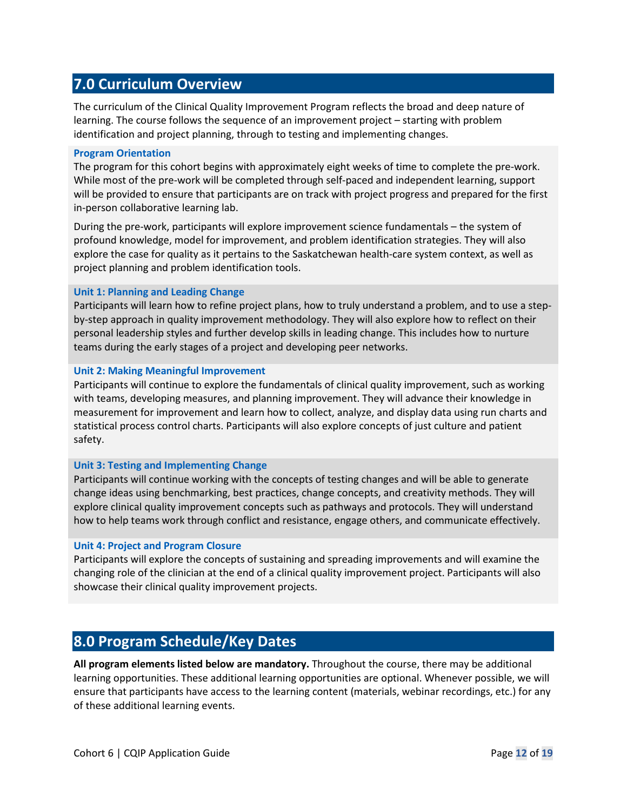## <span id="page-11-0"></span>**7.0 Curriculum Overview**

The curriculum of the Clinical Quality Improvement Program reflects the broad and deep nature of learning. The course follows the sequence of an improvement project – starting with problem identification and project planning, through to testing and implementing changes.

#### **Program Orientation**

The program for this cohort begins with approximately eight weeks of time to complete the pre-work. While most of the pre-work will be completed through self-paced and independent learning, support will be provided to ensure that participants are on track with project progress and prepared for the first in-person collaborative learning lab.

During the pre-work, participants will explore improvement science fundamentals – the system of profound knowledge, model for improvement, and problem identification strategies. They will also explore the case for quality as it pertains to the Saskatchewan health-care system context, as well as project planning and problem identification tools.

#### **Unit 1: Planning and Leading Change**

Participants will learn how to refine project plans, how to truly understand a problem, and to use a stepby-step approach in quality improvement methodology. They will also explore how to reflect on their personal leadership styles and further develop skills in leading change. This includes how to nurture teams during the early stages of a project and developing peer networks.

#### **Unit 2: Making Meaningful Improvement**

Participants will continue to explore the fundamentals of clinical quality improvement, such as working with teams, developing measures, and planning improvement. They will advance their knowledge in measurement for improvement and learn how to collect, analyze, and display data using run charts and statistical process control charts. Participants will also explore concepts of just culture and patient safety.

#### **Unit 3: Testing and Implementing Change**

Participants will continue working with the concepts of testing changes and will be able to generate change ideas using benchmarking, best practices, change concepts, and creativity methods. They will explore clinical quality improvement concepts such as pathways and protocols. They will understand how to help teams work through conflict and resistance, engage others, and communicate effectively.

#### **Unit 4: Project and Program Closure**

Participants will explore the concepts of sustaining and spreading improvements and will examine the changing role of the clinician at the end of a clinical quality improvement project. Participants will also showcase their clinical quality improvement projects.

## <span id="page-11-1"></span>**8.0 Program Schedule/Key Dates**

**All program elements listed below are mandatory.** Throughout the course, there may be additional learning opportunities. These additional learning opportunities are optional. Whenever possible, we will ensure that participants have access to the learning content (materials, webinar recordings, etc.) for any of these additional learning events.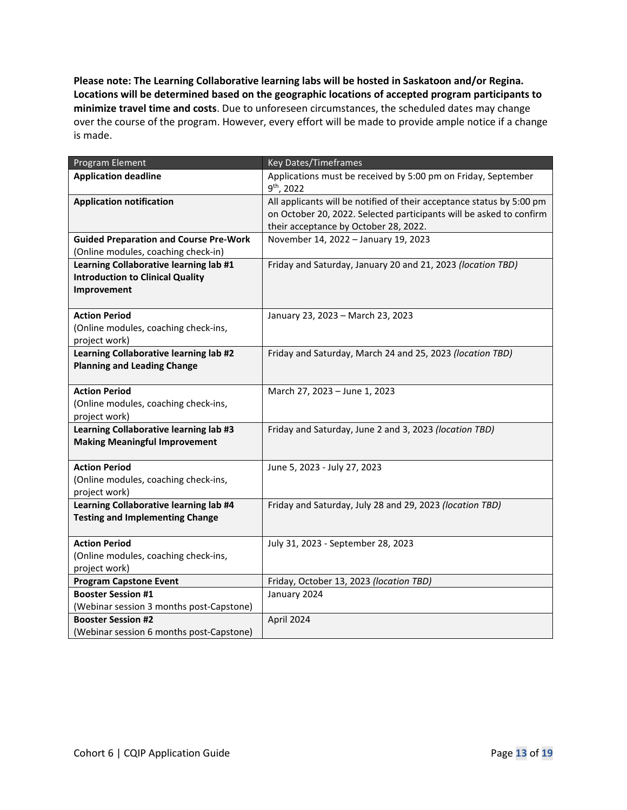**Please note: The Learning Collaborative learning labs will be hosted in Saskatoon and/or Regina. Locations will be determined based on the geographic locations of accepted program participants to minimize travel time and costs**. Due to unforeseen circumstances, the scheduled dates may change over the course of the program. However, every effort will be made to provide ample notice if a change is made.

<span id="page-12-0"></span>

| Program Element                                                                                  | Key Dates/Timeframes                                                                                                                                                                  |
|--------------------------------------------------------------------------------------------------|---------------------------------------------------------------------------------------------------------------------------------------------------------------------------------------|
| <b>Application deadline</b>                                                                      | Applications must be received by 5:00 pm on Friday, September<br>9 <sup>th</sup> , 2022                                                                                               |
| <b>Application notification</b>                                                                  | All applicants will be notified of their acceptance status by 5:00 pm<br>on October 20, 2022. Selected participants will be asked to confirm<br>their acceptance by October 28, 2022. |
| <b>Guided Preparation and Course Pre-Work</b><br>(Online modules, coaching check-in)             | November 14, 2022 - January 19, 2023                                                                                                                                                  |
| Learning Collaborative learning lab #1<br><b>Introduction to Clinical Quality</b><br>Improvement | Friday and Saturday, January 20 and 21, 2023 (location TBD)                                                                                                                           |
| <b>Action Period</b><br>(Online modules, coaching check-ins,<br>project work)                    | January 23, 2023 - March 23, 2023                                                                                                                                                     |
| Learning Collaborative learning lab #2<br><b>Planning and Leading Change</b>                     | Friday and Saturday, March 24 and 25, 2023 (location TBD)                                                                                                                             |
| <b>Action Period</b><br>(Online modules, coaching check-ins,<br>project work)                    | March 27, 2023 - June 1, 2023                                                                                                                                                         |
| Learning Collaborative learning lab #3<br><b>Making Meaningful Improvement</b>                   | Friday and Saturday, June 2 and 3, 2023 (location TBD)                                                                                                                                |
| <b>Action Period</b><br>(Online modules, coaching check-ins,<br>project work)                    | June 5, 2023 - July 27, 2023                                                                                                                                                          |
| Learning Collaborative learning lab #4<br><b>Testing and Implementing Change</b>                 | Friday and Saturday, July 28 and 29, 2023 (location TBD)                                                                                                                              |
| <b>Action Period</b><br>(Online modules, coaching check-ins,<br>project work)                    | July 31, 2023 - September 28, 2023                                                                                                                                                    |
| <b>Program Capstone Event</b>                                                                    | Friday, October 13, 2023 (location TBD)                                                                                                                                               |
| <b>Booster Session #1</b><br>(Webinar session 3 months post-Capstone)                            | January 2024                                                                                                                                                                          |
| <b>Booster Session #2</b><br>(Webinar session 6 months post-Capstone)                            | April 2024                                                                                                                                                                            |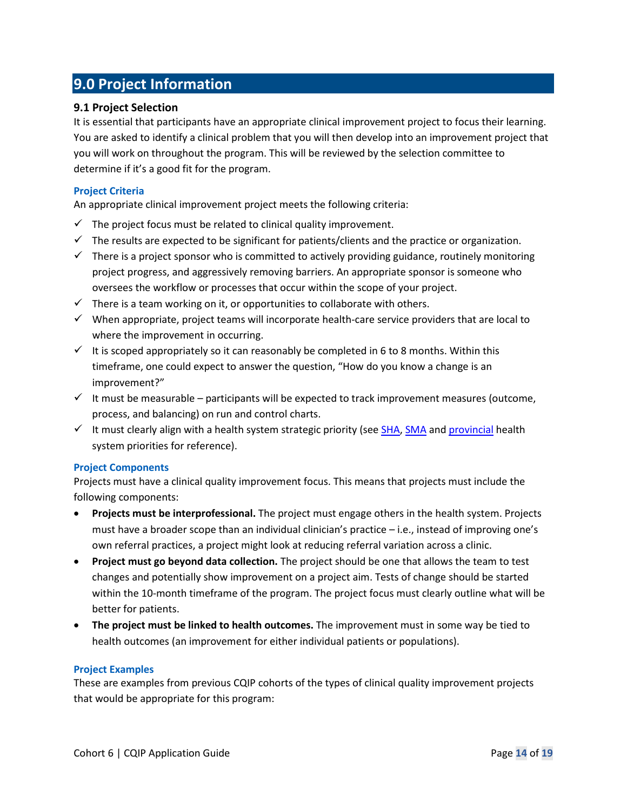## **9.0 Project Information**

#### **9.1 Project Selection**

It is essential that participants have an appropriate clinical improvement project to focus their learning. You are asked to identify a clinical problem that you will then develop into an improvement project that you will work on throughout the program. This will be reviewed by the selection committee to determine if it's a good fit for the program.

#### **Project Criteria**

An appropriate clinical improvement project meets the following criteria:

- $\checkmark$  The project focus must be related to clinical quality improvement.
- $\checkmark$  The results are expected to be significant for patients/clients and the practice or organization.
- $\checkmark$  There is a project sponsor who is committed to actively providing guidance, routinely monitoring project progress, and aggressively removing barriers. An appropriate sponsor is someone who oversees the workflow or processes that occur within the scope of your project.
- $\checkmark$  There is a team working on it, or opportunities to collaborate with others.
- $\checkmark$  When appropriate, project teams will incorporate health-care service providers that are local to where the improvement in occurring.
- $\checkmark$  It is scoped appropriately so it can reasonably be completed in 6 to 8 months. Within this timeframe, one could expect to answer the question, "How do you know a change is an improvement?"
- $\checkmark$  It must be measurable participants will be expected to track improvement measures (outcome, process, and balancing) on run and control charts.
- $\checkmark$  It must clearly align with a health system strategic priority (see [SHA,](https://www.saskhealthauthority.ca/sites/default/files/2022-04/THE-2022-2023-SHA-ROADMAP_Website.pdf) [SMA](https://www.sma.sk.ca/kaizen/content/files/18_04_05%20Strat%20Plan%202018-2022%20FINAL%20(WEB)%20(1).pdf) and [provincial](https://pubsaskdev.blob.core.windows.net/pubsask-prod/126407/HealthPlan_2021-22.pdf) health system priorities for reference).

#### **Project Components**

Projects must have a clinical quality improvement focus. This means that projects must include the following components:

- **Projects must be interprofessional.** The project must engage others in the health system. Projects must have a broader scope than an individual clinician's practice – i.e., instead of improving one's own referral practices, a project might look at reducing referral variation across a clinic.
- **Project must go beyond data collection.** The project should be one that allows the team to test changes and potentially show improvement on a project aim. Tests of change should be started within the 10-month timeframe of the program. The project focus must clearly outline what will be better for patients.
- **The project must be linked to health outcomes.** The improvement must in some way be tied to health outcomes (an improvement for either individual patients or populations).

#### **Project Examples**

These are examples from previous CQIP cohorts of the types of clinical quality improvement projects that would be appropriate for this program: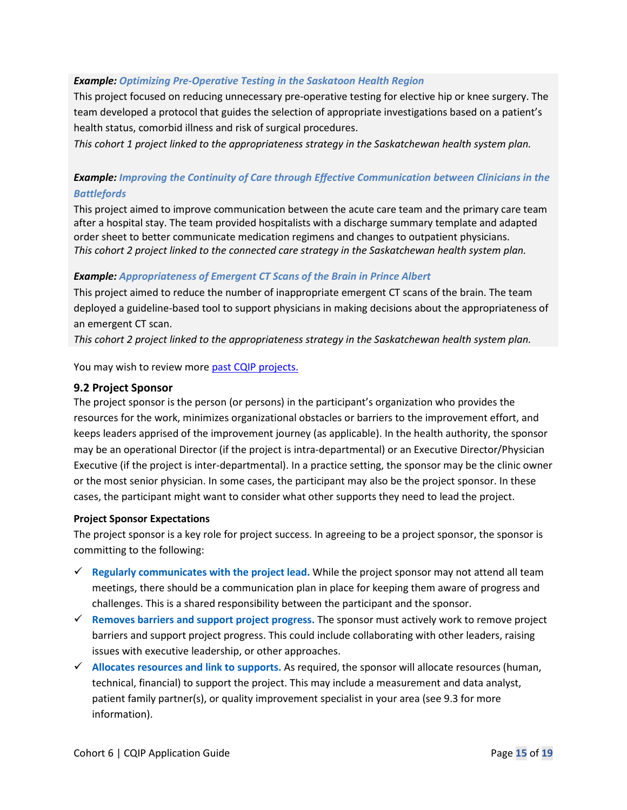#### *Example: Optimizing Pre-Operative Testing in the Saskatoon Health Region*

This project focused on reducing unnecessary pre-operative testing for elective hip or knee surgery. The team developed a protocol that guides the selection of appropriate investigations based on a patient's health status, comorbid illness and risk of surgical procedures.

*This cohort 1 project linked to the appropriateness strategy in the Saskatchewan health system plan.*

#### *Example: Improving the Continuity of Care through Effective Communication between Clinicians in the Battlefords*

This project aimed to improve communication between the acute care team and the primary care team after a hospital stay. The team provided hospitalists with a discharge summary template and adapted order sheet to better communicate medication regimens and changes to outpatient physicians. *This cohort 2 project linked to the connected care strategy in the Saskatchewan health system plan.* 

#### *Example: Appropriateness of Emergent CT Scans of the Brain in Prince Albert*

This project aimed to reduce the number of inappropriate emergent CT scans of the brain. The team deployed a guideline-based tool to support physicians in making decisions about the appropriateness of an emergent CT scan.

*This cohort 2 project linked to the appropriateness strategy in the Saskatchewan health system plan.*

You may wish to review more [past CQIP projects.](https://www.saskhealthquality.ca/training-webinars/cqip/cqip-projects/)

#### **9.2 Project Sponsor**

The project sponsor is the person (or persons) in the participant's organization who provides the resources for the work, minimizes organizational obstacles or barriers to the improvement effort, and keeps leaders apprised of the improvement journey (as applicable). In the health authority, the sponsor may be an operational Director (if the project is intra-departmental) or an Executive Director/Physician Executive (if the project is inter-departmental). In a practice setting, the sponsor may be the clinic owner or the most senior physician. In some cases, the participant may also be the project sponsor. In these cases, the participant might want to consider what other supports they need to lead the project.

#### **Project Sponsor Expectations**

The project sponsor is a key role for project success. In agreeing to be a project sponsor, the sponsor is committing to the following:

- **Regularly communicates with the project lead.** While the project sponsor may not attend all team meetings, there should be a communication plan in place for keeping them aware of progress and challenges. This is a shared responsibility between the participant and the sponsor.
- **Removes barriers and support project progress.** The sponsor must actively work to remove project barriers and support project progress. This could include collaborating with other leaders, raising issues with executive leadership, or other approaches.
- **Allocates resources and link to supports.** As required, the sponsor will allocate resources (human, technical, financial) to support the project. This may include a measurement and data analyst, patient family partner(s), or quality improvement specialist in your area (see 9.3 for more information).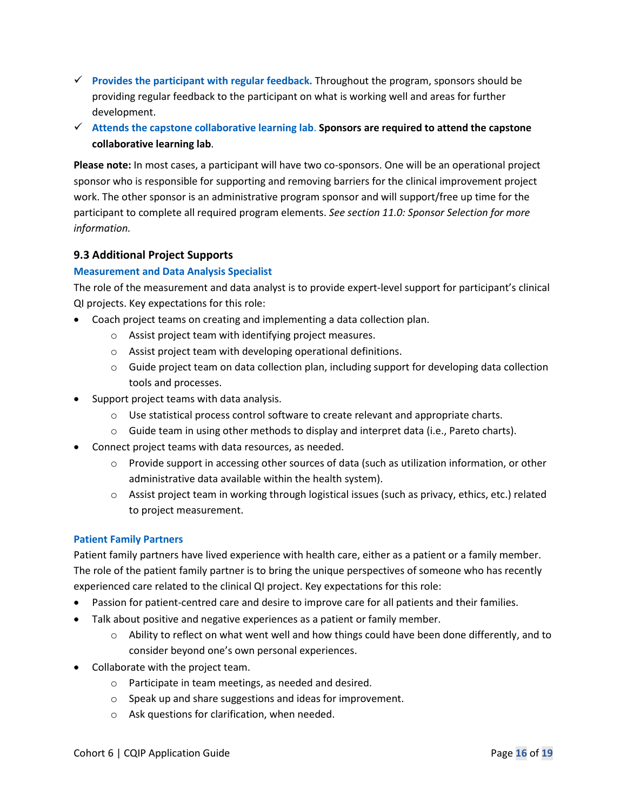- **Provides the participant with regular feedback.** Throughout the program, sponsors should be providing regular feedback to the participant on what is working well and areas for further development.
- **Attends the capstone collaborative learning lab**. **Sponsors are required to attend the capstone collaborative learning lab**.

**Please note:** In most cases, a participant will have two co-sponsors. One will be an operational project sponsor who is responsible for supporting and removing barriers for the clinical improvement project work. The other sponsor is an administrative program sponsor and will support/free up time for the participant to complete all required program elements. *See section 11.0: Sponsor Selection for more information.*

#### **9.3 Additional Project Supports**

#### **Measurement and Data Analysis Specialist**

The role of the measurement and data analyst is to provide expert-level support for participant's clinical QI projects. Key expectations for this role:

- Coach project teams on creating and implementing a data collection plan.
	- o Assist project team with identifying project measures.
	- o Assist project team with developing operational definitions.
	- $\circ$  Guide project team on data collection plan, including support for developing data collection tools and processes.
- Support project teams with data analysis.
	- $\circ$  Use statistical process control software to create relevant and appropriate charts.
	- $\circ$  Guide team in using other methods to display and interpret data (i.e., Pareto charts).
- Connect project teams with data resources, as needed.
	- $\circ$  Provide support in accessing other sources of data (such as utilization information, or other administrative data available within the health system).
	- $\circ$  Assist project team in working through logistical issues (such as privacy, ethics, etc.) related to project measurement.

#### **Patient Family Partners**

Patient family partners have lived experience with health care, either as a patient or a family member. The role of the patient family partner is to bring the unique perspectives of someone who has recently experienced care related to the clinical QI project. Key expectations for this role:

- Passion for patient-centred care and desire to improve care for all patients and their families.
- Talk about positive and negative experiences as a patient or family member.
	- $\circ$  Ability to reflect on what went well and how things could have been done differently, and to consider beyond one's own personal experiences.
- Collaborate with the project team.
	- o Participate in team meetings, as needed and desired.
	- o Speak up and share suggestions and ideas for improvement.
	- o Ask questions for clarification, when needed.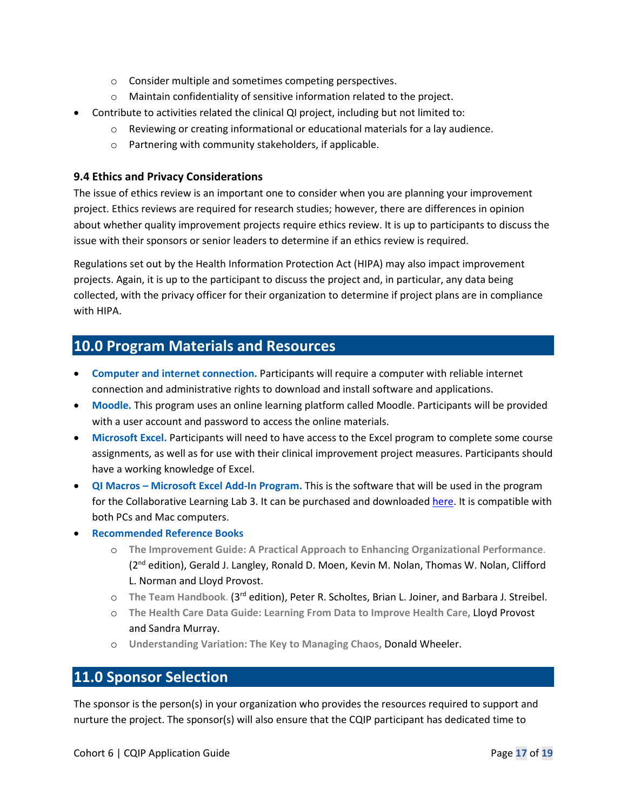- o Consider multiple and sometimes competing perspectives.
- o Maintain confidentiality of sensitive information related to the project.
- Contribute to activities related the clinical QI project, including but not limited to:
	- o Reviewing or creating informational or educational materials for a lay audience.
	- o Partnering with community stakeholders, if applicable.

#### **9.4 Ethics and Privacy Considerations**

The issue of ethics review is an important one to consider when you are planning your improvement project. Ethics reviews are required for research studies; however, there are differences in opinion about whether quality improvement projects require ethics review. It is up to participants to discuss the issue with their sponsors or senior leaders to determine if an ethics review is required.

Regulations set out by the Health Information Protection Act (HIPA) may also impact improvement projects. Again, it is up to the participant to discuss the project and, in particular, any data being collected, with the privacy officer for their organization to determine if project plans are in compliance with HIPA.

## <span id="page-16-0"></span>**10.0 Program Materials and Resources**

- **Computer and internet connection.** Participants will require a computer with reliable internet connection and administrative rights to download and install software and applications.
- **Moodle.** This program uses an online learning platform called Moodle. Participants will be provided with a user account and password to access the online materials.
- **Microsoft Excel.** Participants will need to have access to the Excel program to complete some course assignments, as well as for use with their clinical improvement project measures. Participants should have a working knowledge of Excel.
- **QI Macros Microsoft Excel Add-In Program.** This is the software that will be used in the program for the Collaborative Learning Lab 3. It can be purchased and downloade[d here.](https://www.qimacros.com/) It is compatible with both PCs and Mac computers.
- **Recommended Reference Books**
	- o **The Improvement Guide: A Practical Approach to Enhancing Organizational Performance**. (2nd edition), Gerald J. Langley, Ronald D. Moen, Kevin M. Nolan, Thomas W. Nolan, Clifford L. Norman and Lloyd Provost.
	- o **The Team Handbook**. (3rd edition), Peter R. Scholtes, Brian L. Joiner, and Barbara J. Streibel.
	- o **The Health Care Data Guide: Learning From Data to Improve Health Care,** Lloyd Provost and Sandra Murray.
	- o **Understanding Variation: The Key to Managing Chaos,** Donald Wheeler.

### <span id="page-16-1"></span>**11.0 Sponsor Selection**

The sponsor is the person(s) in your organization who provides the resources required to support and nurture the project. The sponsor(s) will also ensure that the CQIP participant has dedicated time to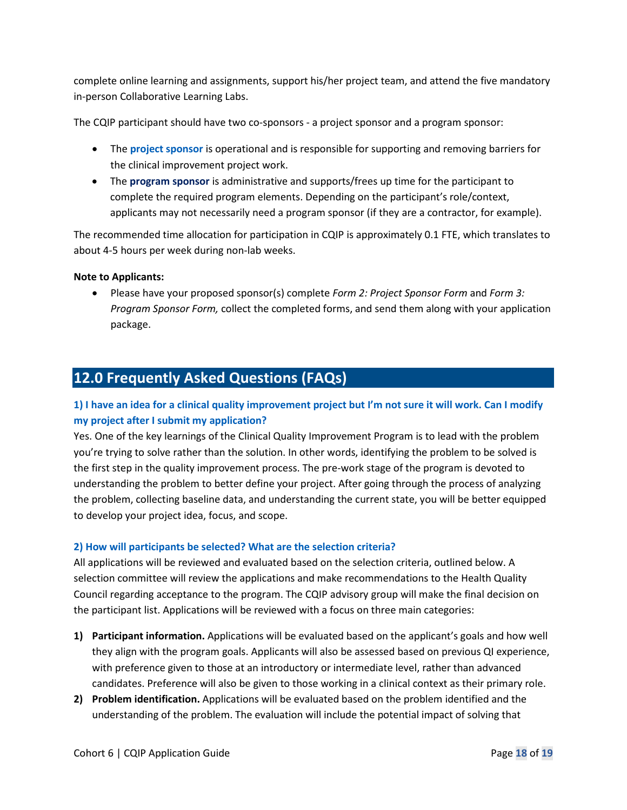complete online learning and assignments, support his/her project team, and attend the five mandatory in-person Collaborative Learning Labs.

The CQIP participant should have two co-sponsors - a project sponsor and a program sponsor:

- The **project sponsor** is operational and is responsible for supporting and removing barriers for the clinical improvement project work.
- The **program sponsor** is administrative and supports/frees up time for the participant to complete the required program elements. Depending on the participant's role/context, applicants may not necessarily need a program sponsor (if they are a contractor, for example).

The recommended time allocation for participation in CQIP is approximately 0.1 FTE, which translates to about 4-5 hours per week during non-lab weeks.

#### **Note to Applicants:**

• Please have your proposed sponsor(s) complete *Form 2: Project Sponsor Form* and *Form 3: Program Sponsor Form,* collect the completed forms, and send them along with your application package.

## <span id="page-17-0"></span>**12.0 Frequently Asked Questions (FAQs)**

#### **1) I have an idea for a clinical quality improvement project but I'm not sure it will work. Can I modify my project after I submit my application?**

Yes. One of the key learnings of the Clinical Quality Improvement Program is to lead with the problem you're trying to solve rather than the solution. In other words, identifying the problem to be solved is the first step in the quality improvement process. The pre-work stage of the program is devoted to understanding the problem to better define your project. After going through the process of analyzing the problem, collecting baseline data, and understanding the current state, you will be better equipped to develop your project idea, focus, and scope.

#### **2) How will participants be selected? What are the selection criteria?**

All applications will be reviewed and evaluated based on the selection criteria, outlined below. A selection committee will review the applications and make recommendations to the Health Quality Council regarding acceptance to the program. The CQIP advisory group will make the final decision on the participant list. Applications will be reviewed with a focus on three main categories:

- **1) Participant information.** Applications will be evaluated based on the applicant's goals and how well they align with the program goals. Applicants will also be assessed based on previous QI experience, with preference given to those at an introductory or intermediate level, rather than advanced candidates. Preference will also be given to those working in a clinical context as their primary role.
- **2) Problem identification.** Applications will be evaluated based on the problem identified and the understanding of the problem. The evaluation will include the potential impact of solving that